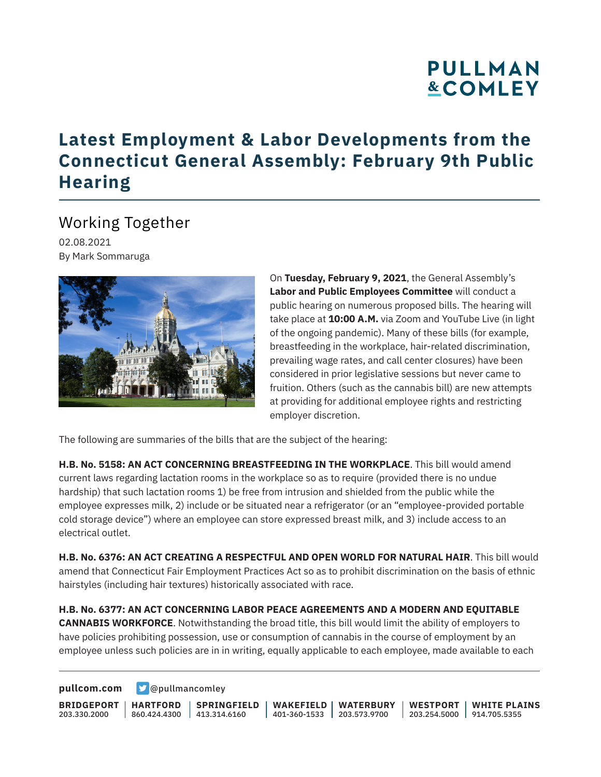# **PULLMAN &COMLEY**

### **Latest Employment & Labor Developments from the Connecticut General Assembly: February 9th Public Hearing**

#### Working Together

02.08.2021 By Mark Sommaruga



On **Tuesday, February 9, 2021**, the General Assembly's **Labor and Public Employees Committee** will conduct a public hearing on numerous proposed bills. The hearing will take place at **10:00 A.M.** via Zoom and YouTube Live (in light of the ongoing pandemic). Many of these bills (for example, breastfeeding in the workplace, hair-related discrimination, prevailing wage rates, and call center closures) have been considered in prior legislative sessions but never came to fruition. Others (such as the cannabis bill) are new attempts at providing for additional employee rights and restricting employer discretion.

The following are summaries of the bills that are the subject of the hearing:

**H.B. No. 5158: AN ACT CONCERNING BREASTFEEDING IN THE WORKPLACE**. This bill would amend current laws regarding lactation rooms in the workplace so as to require (provided there is no undue hardship) that such lactation rooms 1) be free from intrusion and shielded from the public while the employee expresses milk, 2) include or be situated near a refrigerator (or an "employee-provided portable cold storage device") where an employee can store expressed breast milk, and 3) include access to an electrical outlet.

**H.B. No. 6376: AN ACT CREATING A RESPECTFUL AND OPEN WORLD FOR NATURAL HAIR**. This bill would amend that Connecticut Fair Employment Practices Act so as to prohibit discrimination on the basis of ethnic hairstyles (including hair textures) historically associated with race.

**H.B. No. 6377: AN ACT CONCERNING LABOR PEACE AGREEMENTS AND A MODERN AND EQUITABLE CANNABIS WORKFORCE**. Notwithstanding the broad title, this bill would limit the ability of employers to have policies prohibiting possession, use or consumption of cannabis in the course of employment by an employee unless such policies are in in writing, equally applicable to each employee, made available to each

**[pullcom.com](https://www.pullcom.com) g** [@pullmancomley](https://twitter.com/PullmanComley)

**BRIDGEPORT** 203.330.2000 **HARTFORD** 860.424.4300 413.314.6160 **SPRINGFIELD WAKEFIELD** 401-360-1533 203.573.9700 **WATERBURY WESTPORT WHITE PLAINS** 203.254.5000 914.705.5355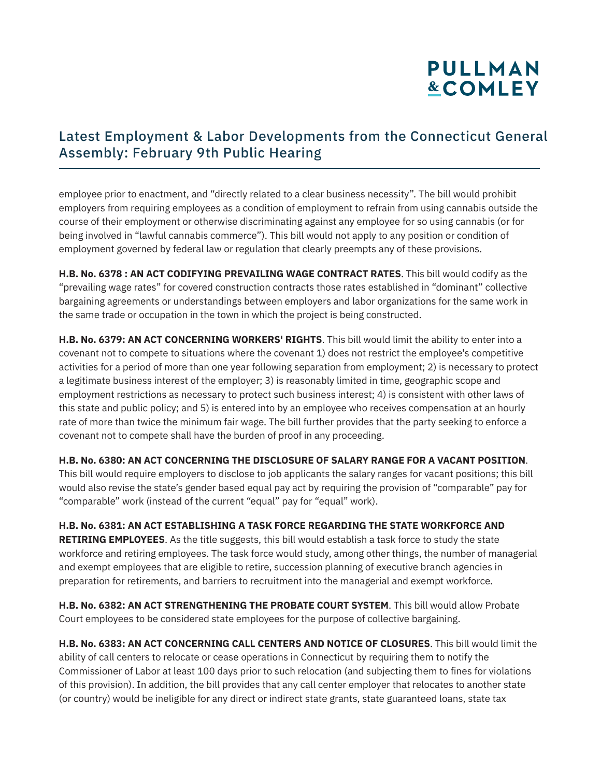## **PULLMAN &COMLEY**

#### Latest Employment & Labor Developments from the Connecticut General Assembly: February 9th Public Hearing

employee prior to enactment, and "directly related to a clear business necessity". The bill would prohibit employers from requiring employees as a condition of employment to refrain from using cannabis outside the course of their employment or otherwise discriminating against any employee for so using cannabis (or for being involved in "lawful cannabis commerce"). This bill would not apply to any position or condition of employment governed by federal law or regulation that clearly preempts any of these provisions.

**H.B. No. 6378 : AN ACT CODIFYING PREVAILING WAGE CONTRACT RATES**. This bill would codify as the "prevailing wage rates" for covered construction contracts those rates established in "dominant" collective bargaining agreements or understandings between employers and labor organizations for the same work in the same trade or occupation in the town in which the project is being constructed.

**H.B. No. 6379: AN ACT CONCERNING WORKERS' RIGHTS**. This bill would limit the ability to enter into a covenant not to compete to situations where the covenant 1) does not restrict the employee's competitive activities for a period of more than one year following separation from employment; 2) is necessary to protect a legitimate business interest of the employer; 3) is reasonably limited in time, geographic scope and employment restrictions as necessary to protect such business interest; 4) is consistent with other laws of this state and public policy; and 5) is entered into by an employee who receives compensation at an hourly rate of more than twice the minimum fair wage. The bill further provides that the party seeking to enforce a covenant not to compete shall have the burden of proof in any proceeding.

**H.B. No. 6380: AN ACT CONCERNING THE DISCLOSURE OF SALARY RANGE FOR A VACANT POSITION**.

This bill would require employers to disclose to job applicants the salary ranges for vacant positions; this bill would also revise the state's gender based equal pay act by requiring the provision of "comparable" pay for "comparable" work (instead of the current "equal" pay for "equal" work).

**H.B. No. 6381: AN ACT ESTABLISHING A TASK FORCE REGARDING THE STATE WORKFORCE AND RETIRING EMPLOYEES**. As the title suggests, this bill would establish a task force to study the state workforce and retiring employees. The task force would study, among other things, the number of managerial and exempt employees that are eligible to retire, succession planning of executive branch agencies in preparation for retirements, and barriers to recruitment into the managerial and exempt workforce.

**H.B. No. 6382: AN ACT STRENGTHENING THE PROBATE COURT SYSTEM**. This bill would allow Probate Court employees to be considered state employees for the purpose of collective bargaining.

**H.B. No. 6383: AN ACT CONCERNING CALL CENTERS AND NOTICE OF CLOSURES**. This bill would limit the ability of call centers to relocate or cease operations in Connecticut by requiring them to notify the Commissioner of Labor at least 100 days prior to such relocation (and subjecting them to fines for violations of this provision). In addition, the bill provides that any call center employer that relocates to another state (or country) would be ineligible for any direct or indirect state grants, state guaranteed loans, state tax